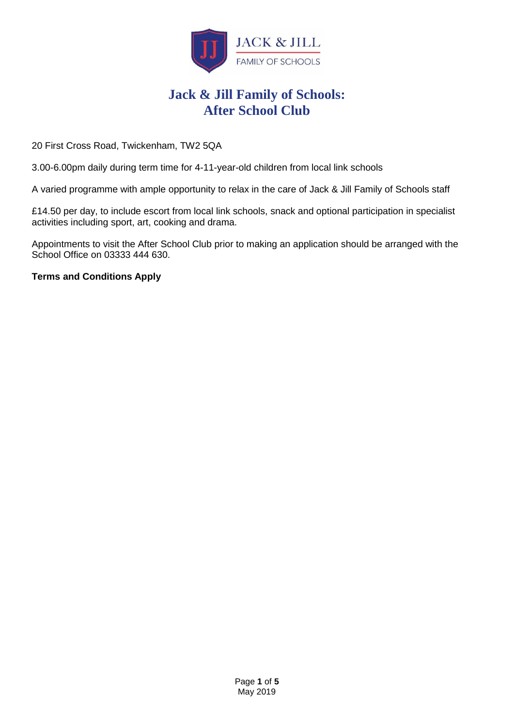

# **Jack & Jill Family of Schools: After School Club**

20 First Cross Road, Twickenham, TW2 5QA

3.00-6.00pm daily during term time for 4-11-year-old children from local link schools

A varied programme with ample opportunity to relax in the care of Jack & Jill Family of Schools staff

£14.50 per day, to include escort from local link schools, snack and optional participation in specialist activities including sport, art, cooking and drama.

Appointments to visit the After School Club prior to making an application should be arranged with the School Office on 03333 444 630.

**Terms and Conditions Apply**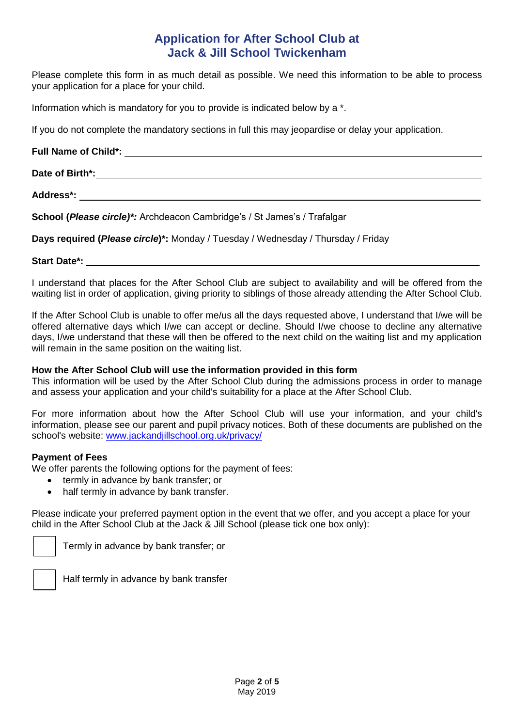# **Application for After School Club at Jack & Jill School Twickenham**

Please complete this form in as much detail as possible. We need this information to be able to process your application for a place for your child.

Information which is mandatory for you to provide is indicated below by a \*.

If you do not complete the mandatory sections in full this may jeopardise or delay your application.

# **Full Name of Child\*:**

**Date of Birth\*:**                                                                                                                                                                                                           

**Address\*:**                                                                                                                                                                                                                    

**School (***Please circle)\*:* Archdeacon Cambridge's / St James's / Trafalgar

**Days required (***Please circle***)\*:** Monday / Tuesday / Wednesday / Thursday / Friday

## **Start Date\*:**

I understand that places for the After School Club are subject to availability and will be offered from the waiting list in order of application, giving priority to siblings of those already attending the After School Club.

If the After School Club is unable to offer me/us all the days requested above, I understand that I/we will be offered alternative days which I/we can accept or decline. Should I/we choose to decline any alternative days, I/we understand that these will then be offered to the next child on the waiting list and my application will remain in the same position on the waiting list.

## **How the After School Club will use the information provided in this form**

This information will be used by the After School Club during the admissions process in order to manage and assess your application and your child's suitability for a place at the After School Club.

For more information about how the After School Club will use your information, and your child's information, please see our parent and pupil privacy notices. Both of these documents are published on the school's website: [www.jackandjillschool.org.uk/privacy/](http://www.jackandjillschool.org.uk/privacy/)

## **Payment of Fees**

We offer parents the following options for the payment of fees:

- termly in advance by bank transfer; or
- half termly in advance by bank transfer.

Please indicate your preferred payment option in the event that we offer, and you accept a place for your child in the After School Club at the Jack & Jill School (please tick one box only):

Termly in advance by bank transfer; or



Half termly in advance by bank transfer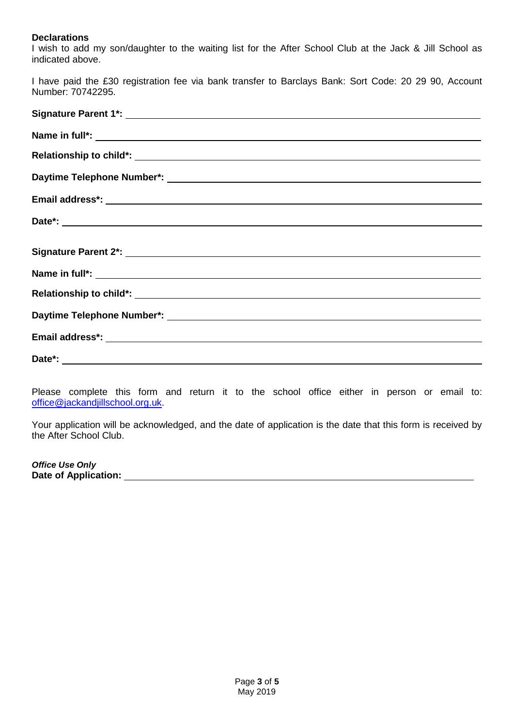## **Declarations**

I wish to add my son/daughter to the waiting list for the After School Club at the Jack & Jill School as indicated above.

I have paid the £30 registration fee via bank transfer to Barclays Bank: Sort Code: 20 29 90, Account Number: 70742295.

Please complete this form and return it to the school office either in person or email to: office@jackandjillschool.org.uk.

Your application will be acknowledged, and the date of application is the date that this form is received by the After School Club.

**Office Use Only**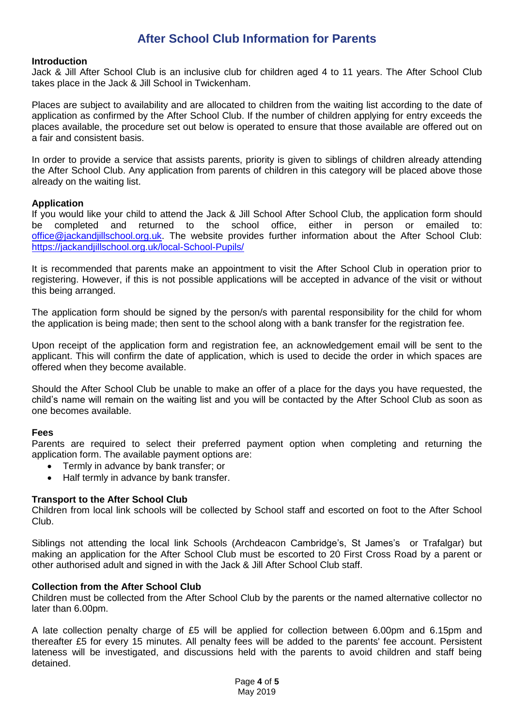# **After School Club Information for Parents**

### **Introduction**

Jack & Jill After School Club is an inclusive club for children aged 4 to 11 years. The After School Club takes place in the Jack & Jill School in Twickenham.

Places are subject to availability and are allocated to children from the waiting list according to the date of application as confirmed by the After School Club. If the number of children applying for entry exceeds the places available, the procedure set out below is operated to ensure that those available are offered out on a fair and consistent basis.

In order to provide a service that assists parents, priority is given to siblings of children already attending the After School Club. Any application from parents of children in this category will be placed above those already on the waiting list.

## **Application**

If you would like your child to attend the Jack & Jill School After School Club, the application form should be completed and returned to the school office, either in person or emailed [office@jackandjillschool.org.uk.](mailto:office@jackandjillschool.org.uk) The website provides further information about the After School Club: <https://jackandjillschool.org.uk/local-School-Pupils/>

It is recommended that parents make an appointment to visit the After School Club in operation prior to registering. However, if this is not possible applications will be accepted in advance of the visit or without this being arranged.

The application form should be signed by the person/s with parental responsibility for the child for whom the application is being made; then sent to the school along with a bank transfer for the registration fee.

Upon receipt of the application form and registration fee, an acknowledgement email will be sent to the applicant. This will confirm the date of application, which is used to decide the order in which spaces are offered when they become available.

Should the After School Club be unable to make an offer of a place for the days you have requested, the child's name will remain on the waiting list and you will be contacted by the After School Club as soon as one becomes available.

#### **Fees**

Parents are required to select their preferred payment option when completing and returning the application form. The available payment options are:

- Termly in advance by bank transfer; or
- Half termly in advance by bank transfer.

#### **Transport to the After School Club**

Children from local link schools will be collected by School staff and escorted on foot to the After School Club.

Siblings not attending the local link Schools (Archdeacon Cambridge's, St James's or Trafalgar) but making an application for the After School Club must be escorted to 20 First Cross Road by a parent or other authorised adult and signed in with the Jack & Jill After School Club staff.

#### **Collection from the After School Club**

Children must be collected from the After School Club by the parents or the named alternative collector no later than 6.00pm.

A late collection penalty charge of £5 will be applied for collection between 6.00pm and 6.15pm and thereafter £5 for every 15 minutes. All penalty fees will be added to the parents' fee account. Persistent lateness will be investigated, and discussions held with the parents to avoid children and staff being detained.